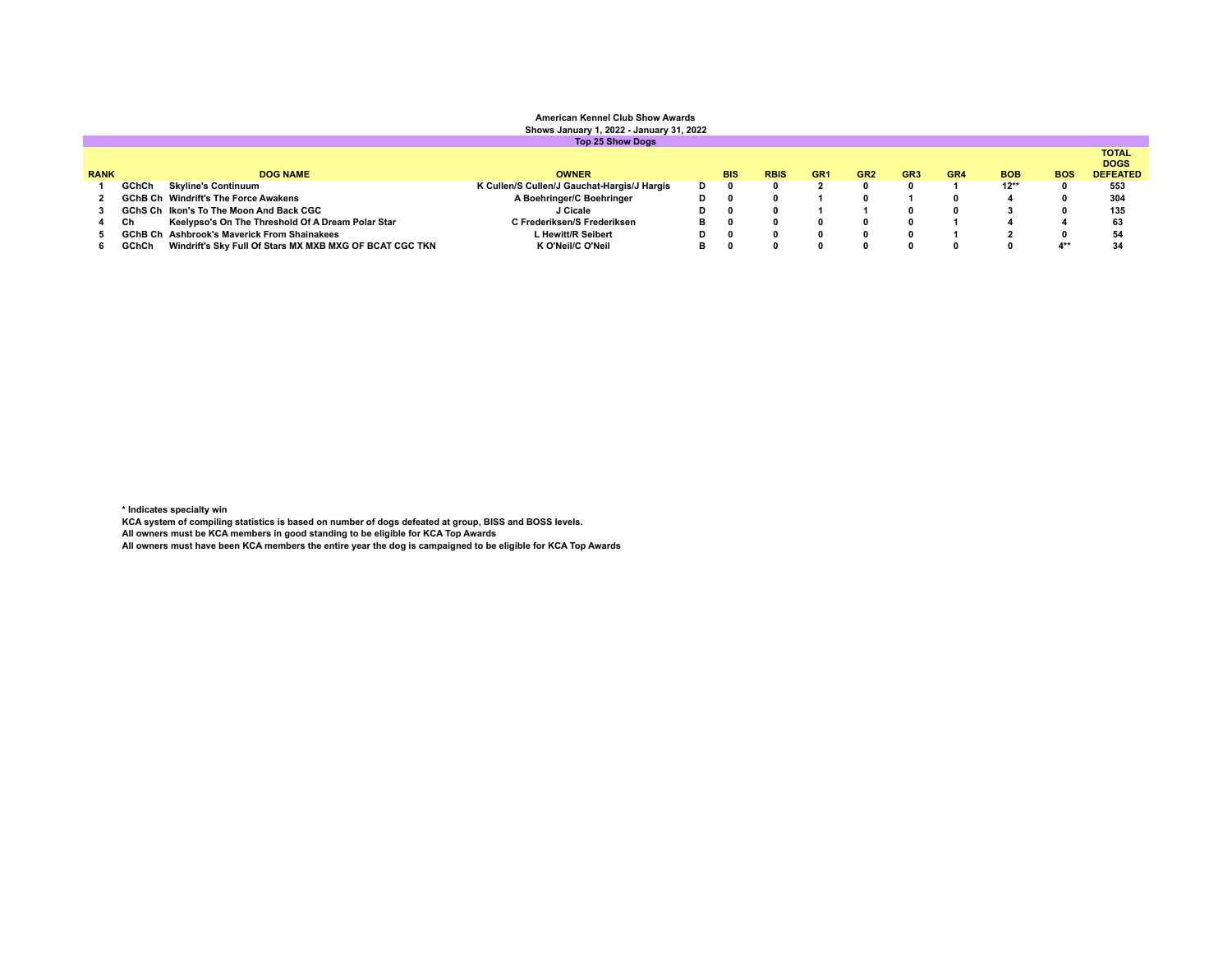# **American Kennel Club Show Awards Shows January 1, 2022 - January 31, 2022 Top 25 Show Dogs**

| <b>RANK</b> |              | <b>DOG NAME</b>                                         | <b>OWNER</b>                                |    | <b>BIS</b> | <b>RBIS</b> | GR <sub>1</sub> | GR <sub>2</sub> | GR <sub>3</sub> | GR4 | <b>BOB</b> | <b>BOS</b> | <b>TOTAL</b><br><b>DOGS</b><br><b>DEFEATED</b> |
|-------------|--------------|---------------------------------------------------------|---------------------------------------------|----|------------|-------------|-----------------|-----------------|-----------------|-----|------------|------------|------------------------------------------------|
|             | <b>GChCh</b> | Skyline's Continuum                                     | K Cullen/S Cullen/J Gauchat-Hargis/J Hargis | D  |            |             |                 |                 |                 |     | $12**$     |            | 553                                            |
|             |              | <b>GChB Ch</b> Windrift's The Force Awakens             | A Boehringer/C Boehringer                   | D. |            |             |                 |                 |                 |     |            |            | 304                                            |
|             |              | GChS Ch Ikon's To The Moon And Back CGC                 | J Cicale                                    | D. |            |             |                 |                 |                 |     |            |            | 135                                            |
|             | Ch           | Keelypso's On The Threshold Of A Dream Polar Star       | C Frederiksen/S Frederiksen                 |    |            |             |                 |                 |                 |     |            |            | 63                                             |
|             |              | <b>GChB Ch</b> Ashbrook's Maverick From Shainakees      | L Hewitt/R Seibert                          | D. |            |             |                 |                 |                 |     |            |            | 54                                             |
|             | GChCh        | Windrift's Sky Full Of Stars MX MXB MXG OF BCAT CGC TKN | K O'Neil/C O'Neil                           |    |            |             |                 |                 |                 |     |            |            | 34                                             |

\* Indicates specialty win<br>KCA system of compiling statistics is based on number of dogs defeated at group, BISS and BOSS levels.<br>All owners must be KCA members in good standing to be eligible for KCA Top Awards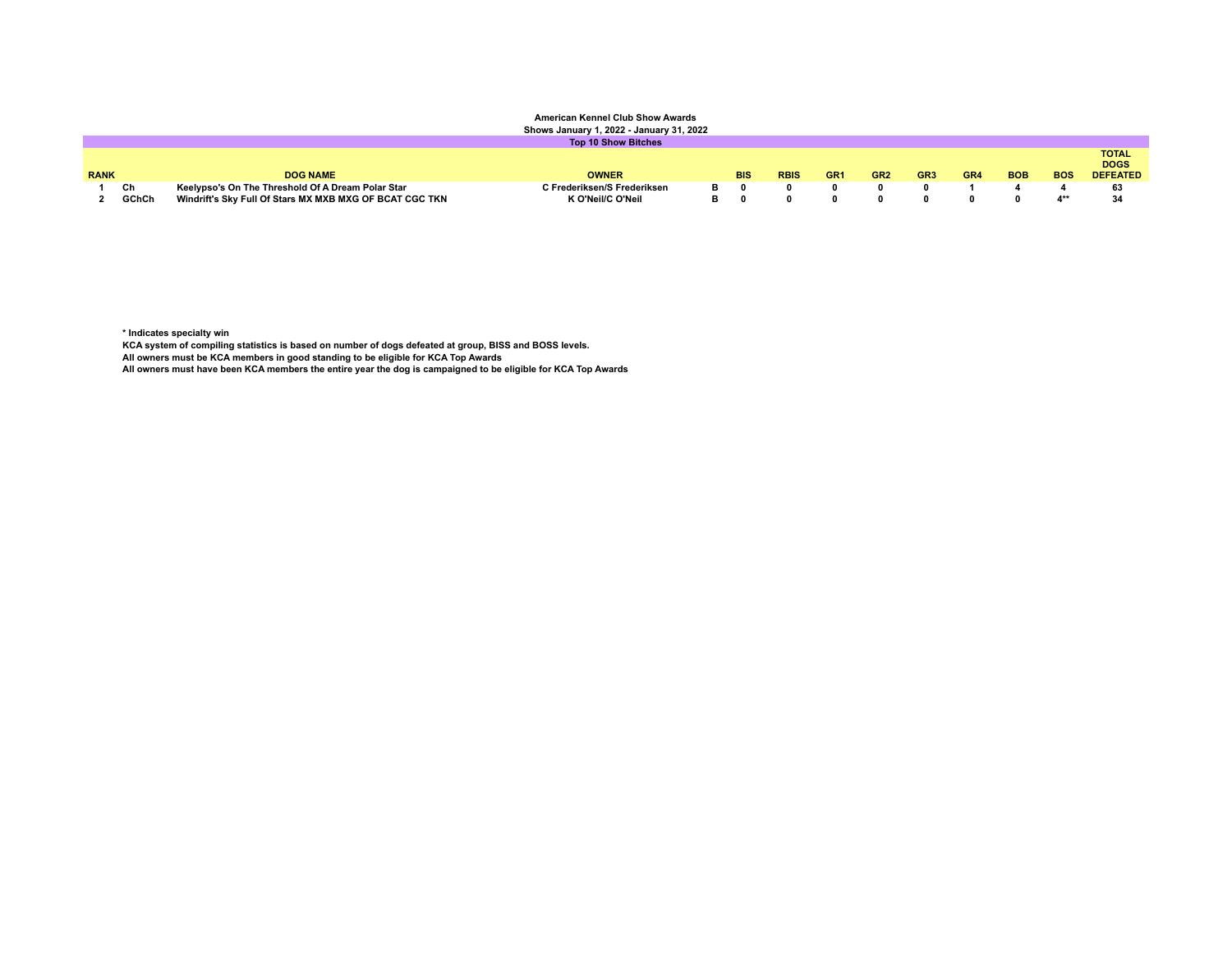#### **American Kennel Club Show Awards Shows January 1, 2022 - January 31, 2022**

| Onows January 1, 2022 - January J1, 2022 |       |                                                         |                             |    |            |             |                 |                 |                 |     |            |            |                                                |
|------------------------------------------|-------|---------------------------------------------------------|-----------------------------|----|------------|-------------|-----------------|-----------------|-----------------|-----|------------|------------|------------------------------------------------|
|                                          |       |                                                         | <b>Top 10 Show Bitches</b>  |    |            |             |                 |                 |                 |     |            |            |                                                |
| <b>RANK</b>                              |       | <b>DOG NAME</b>                                         | <b>OWNER</b>                |    | <b>BIS</b> | <b>RBIS</b> | GR <sub>1</sub> | GR <sub>2</sub> | GR <sub>3</sub> | GR4 | <b>BOB</b> | <b>BOS</b> | <b>TOTAL</b><br><b>DOGS</b><br><b>DEFEATED</b> |
|                                          | Ch    | Keelypso's On The Threshold Of A Dream Polar Star       | C Frederiksen/S Frederiksen | в. |            |             |                 |                 |                 |     |            |            | 63                                             |
|                                          | GChCh | Windrift's Sky Full Of Stars MX MXB MXG OF BCAT CGC TKN | K O'Neil/C O'Neil           | в. |            |             |                 |                 |                 |     |            |            |                                                |

**\* Indicates specialty win**

**KCA system of compiling statistics is based on number of dogs defeated at group, BISS and BOSS levels.**

**All owners must be KCA members in good standing to be eligible for KCA Top Awards**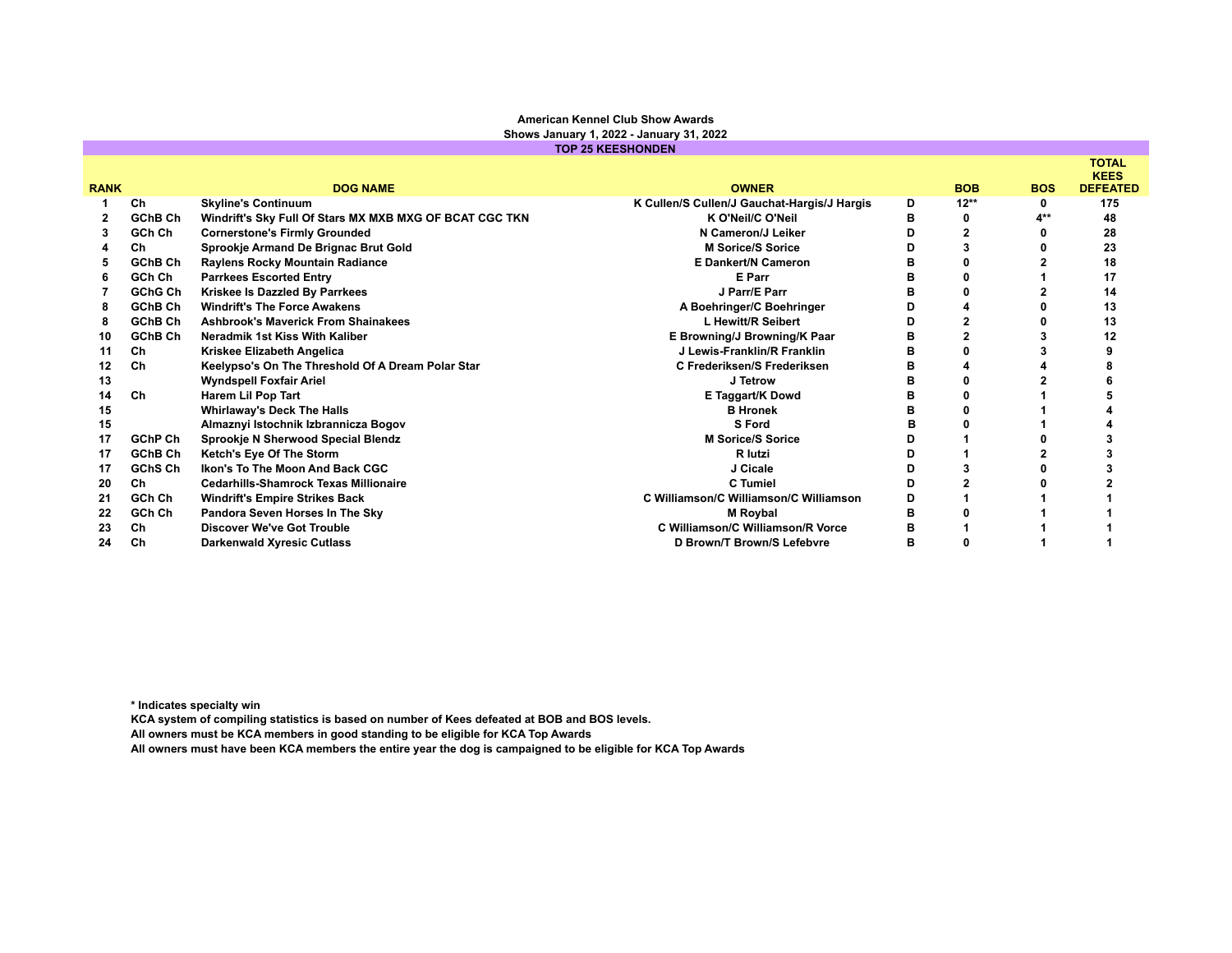### **American Kennel Club Show Awards Shows January 1, 2022 - January 31, 2022**

|             |         |                                                         | <b>TOP 25 KEESHONDEN</b>                    |   |                |            |                             |
|-------------|---------|---------------------------------------------------------|---------------------------------------------|---|----------------|------------|-----------------------------|
|             |         |                                                         |                                             |   |                |            | <b>TOTAL</b><br><b>KEES</b> |
| <b>RANK</b> |         | <b>DOG NAME</b>                                         | <b>OWNER</b>                                |   | <b>BOB</b>     | <b>BOS</b> | <b>DEFEATED</b>             |
|             | Ch      | <b>Skyline's Continuum</b>                              | K Cullen/S Cullen/J Gauchat-Hargis/J Hargis | D | $12**$         | 0          | 175                         |
|             | GChB Ch | Windrift's Sky Full Of Stars MX MXB MXG OF BCAT CGC TKN | K O'Neil/C O'Neil                           | в | 0              | $A***$     | 48                          |
| 3           | GCh Ch  | <b>Cornerstone's Firmly Grounded</b>                    | N Cameron/J Leiker                          | D | $\overline{2}$ |            | 28                          |
|             | Ch      | Sprookje Armand De Brignac Brut Gold                    | <b>M Sorice/S Sorice</b>                    | D |                |            | 23                          |
| 5           | GChB Ch | Raylens Rocky Mountain Radiance                         | <b>E Dankert/N Cameron</b>                  | в |                |            | 18                          |
| 6           | GCh Ch  | <b>Parrkees Escorted Entry</b>                          | E Parr                                      | в |                |            | 17                          |
|             | GChG Ch | Kriskee Is Dazzled By Parrkees                          | J Parr/E Parr                               |   |                |            | 14                          |
|             | GChB Ch | <b>Windrift's The Force Awakens</b>                     | A Boehringer/C Boehringer                   | D |                |            | 13                          |
| 8           | GChB Ch | <b>Ashbrook's Maverick From Shainakees</b>              | L Hewitt/R Seibert                          | D |                |            | 13                          |
| 10          | GChB Ch | Neradmik 1st Kiss With Kaliber                          | E Browning/J Browning/K Paar                | в |                |            | 12                          |
| 11          | Ch      | Kriskee Elizabeth Angelica                              | J Lewis-Franklin/R Franklin                 | в |                |            |                             |
| 12          | Ch      | Keelypso's On The Threshold Of A Dream Polar Star       | C Frederiksen/S Frederiksen                 | в |                |            |                             |
| 13          |         | <b>Wyndspell Foxfair Ariel</b>                          | J Tetrow                                    |   |                |            |                             |
| 14          | Ch      | Harem Lil Pop Tart                                      | E Taggart/K Dowd                            | в |                |            |                             |
| 15          |         | <b>Whirlaway's Deck The Halls</b>                       | <b>B</b> Hronek                             | в |                |            |                             |
| 15          |         | Almaznyi Istochnik Izbrannicza Bogov                    | S Ford                                      |   |                |            |                             |
| 17          | GChP Ch | Sprookje N Sherwood Special Blendz                      | <b>M Sorice/S Sorice</b>                    | D |                |            |                             |
| 17          | GChB Ch | Ketch's Eye Of The Storm                                | R lutzi                                     |   |                |            |                             |
| 17          | GChS Ch | Ikon's To The Moon And Back CGC                         | J Cicale                                    | D |                |            |                             |
| 20          | Ch      | <b>Cedarhills-Shamrock Texas Millionaire</b>            | C Tumiel                                    | D |                |            |                             |
| 21          | GCh Ch  | <b>Windrift's Empire Strikes Back</b>                   | C Williamson/C Williamson/C Williamson      | D |                |            |                             |
| 22          | GCh Ch  | Pandora Seven Horses In The Sky                         | M Roybal                                    | в |                |            |                             |
| 23          | Ch      | <b>Discover We've Got Trouble</b>                       | <b>C Williamson/C Williamson/R Vorce</b>    | в |                |            |                             |
| 24          | Ch      | <b>Darkenwald Xyresic Cutlass</b>                       | D Brown/T Brown/S Lefebvre                  | в |                |            |                             |
|             |         |                                                         |                                             |   |                |            |                             |

**\* Indicates specialty win**

**KCA system of compiling statistics is based on number of Kees defeated at BOB and BOS levels.**

**All owners must be KCA members in good standing to be eligible for KCA Top Awards**